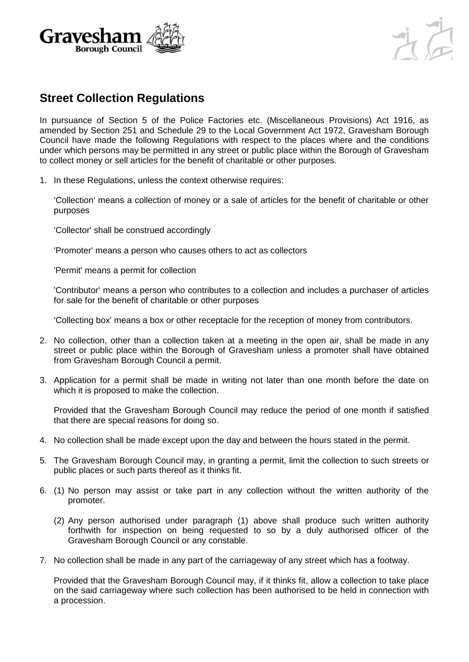



## **Street Collection Regulations**

In pursuance of Section 5 of the Police Factories etc. (Miscellaneous Provisions) Act 1916, as amended by Section 251 and Schedule 29 to the Local Government Act 1972, Gravesham Borough Council have made the following Regulations with respect to the places where and the conditions under which persons may be permitted in any street or public place within the Borough of Gravesham to collect money or sell articles for the benefit of charitable or other purposes.

1. In these Regulations, unless the context otherwise requires:

'Collection' means a collection of money or a sale of articles for the benefit of charitable or other purposes

'Collector' shall be construed accordingly

'Promoter' means a person who causes others to act as collectors

'Permit' means a permit for collection

'Contributor' means a person who contributes to a collection and includes a purchaser of articles for sale for the benefit of charitable or other purposes

'Collecting box' means a box or other receptacle for the reception of money from contributors.

- 2. No collection, other than a collection taken at a meeting in the open air, shall be made in any street or public place within the Borough of Gravesham unless a promoter shall have obtained from Gravesham Borough Council a permit.
- 3. Application for a permit shall be made in writing not later than one month before the date on which it is proposed to make the collection.

Provided that the Gravesham Borough Council may reduce the period of one month if satisfied that there are special reasons for doing so.

- 4. No collection shall be made except upon the day and between the hours stated in the permit.
- 5. The Gravesham Borough Council may, in granting a permit, limit the collection to such streets or public places or such parts thereof as it thinks fit.
- 6. (1) No person may assist or take part in any collection without the written authority of the promoter.
	- (2) Any person authorised under paragraph (1) above shall produce such written authority forthwith for inspection on being requested to so by a duly authorised officer of the Gravesham Borough Council or any constable.
- 7. No collection shall be made in any part of the carriageway of any street which has a footway.

Provided that the Gravesham Borough Council may, if it thinks fit, allow a collection to take place on the said carriageway where such collection has been authorised to be held in connection with a procession.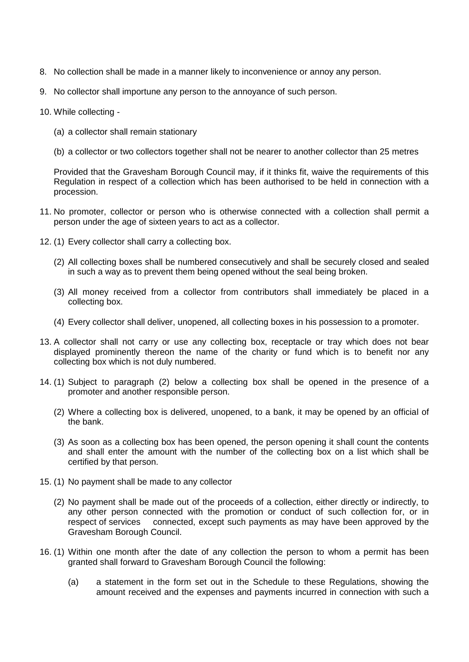- 8. No collection shall be made in a manner likely to inconvenience or annoy any person.
- 9. No collector shall importune any person to the annoyance of such person.
- 10. While collecting
	- (a) a collector shall remain stationary
	- (b) a collector or two collectors together shall not be nearer to another collector than 25 metres

Provided that the Gravesham Borough Council may, if it thinks fit, waive the requirements of this Regulation in respect of a collection which has been authorised to be held in connection with a procession.

- 11. No promoter, collector or person who is otherwise connected with a collection shall permit a person under the age of sixteen years to act as a collector.
- 12. (1) Every collector shall carry a collecting box.
	- (2) All collecting boxes shall be numbered consecutively and shall be securely closed and sealed in such a way as to prevent them being opened without the seal being broken.
	- (3) All money received from a collector from contributors shall immediately be placed in a collecting box.
	- (4) Every collector shall deliver, unopened, all collecting boxes in his possession to a promoter.
- 13. A collector shall not carry or use any collecting box, receptacle or tray which does not bear displayed prominently thereon the name of the charity or fund which is to benefit nor any collecting box which is not duly numbered.
- 14. (1) Subject to paragraph (2) below a collecting box shall be opened in the presence of a promoter and another responsible person.
	- (2) Where a collecting box is delivered, unopened, to a bank, it may be opened by an official of the bank.
	- (3) As soon as a collecting box has been opened, the person opening it shall count the contents and shall enter the amount with the number of the collecting box on a list which shall be certified by that person.
- 15. (1) No payment shall be made to any collector
	- (2) No payment shall be made out of the proceeds of a collection, either directly or indirectly, to any other person connected with the promotion or conduct of such collection for, or in respect of services connected, except such payments as may have been approved by the Gravesham Borough Council.
- 16. (1) Within one month after the date of any collection the person to whom a permit has been granted shall forward to Gravesham Borough Council the following:
	- (a) a statement in the form set out in the Schedule to these Regulations, showing the amount received and the expenses and payments incurred in connection with such a